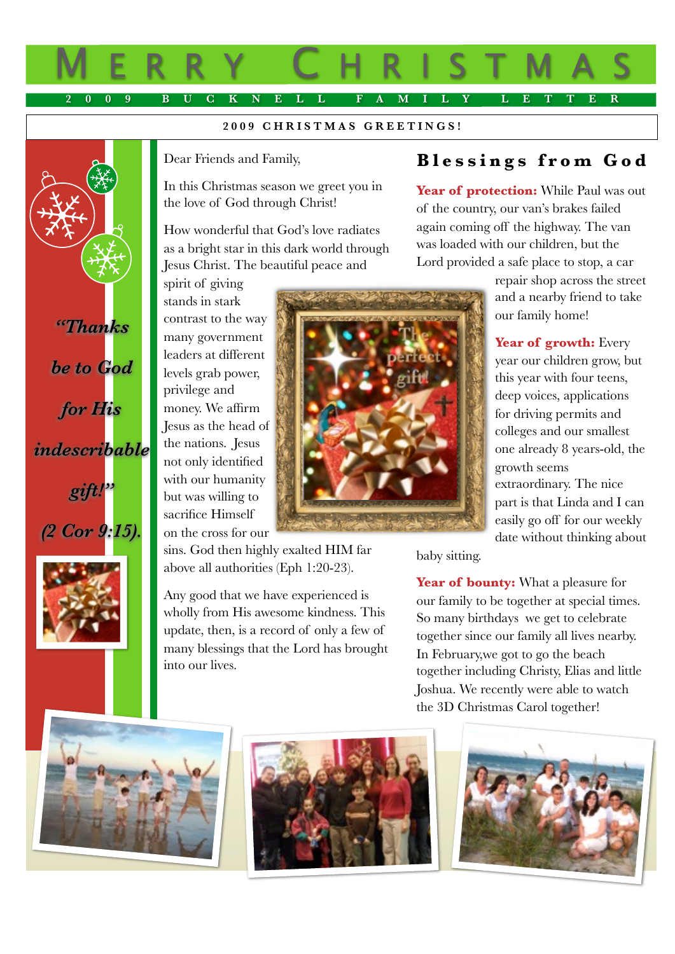# M ERRY C HRISTMAS **2009 BUCKNELL FAMILY LETTER**

#### **2009 CHRISTMAS GREETINGS!**

Dear Friends and Family,

In this Christmas season we greet you in the love of God through Christ!

How wonderful that God's love radiates as a bright star in this dark world through Jesus Christ. The beautiful peace and

spirit of giving stands in stark contrast to the way many government leaders at different levels grab power, privilege and money. We affirm Jesus as the head of the nations. Jesus not only identified with our humanity but was willing to sacrifice Himself on the cross for our

sins. God then highly exalted HIM far above all authorities (Eph 1:20-23).

Any good that we have experienced is wholly from His awesome kindness. This update, then, is a record of only a few of many blessings that the Lord has brought into our lives.

## **Blessings from God**

Year of **protection:** While Paul was out of the country, our van's brakes failed again coming off the highway. The van was loaded with our children, but the Lord provided a safe place to stop, a car

> repair shop across the street and a nearby friend to take our family home!

> **Year of growth:** Every year our children grow, but this year with four teens, deep voices, applications for driving permits and colleges and our smallest one already 8 years-old, the growth seems extraordinary. The nice part is that Linda and I can easily go off for our weekly date without thinking about

baby sitting.

Year of **bounty:** What a pleasure for our family to be together at special times. So many birthdays we get to celebrate together since our family all lives nearby. In February,we got to go the beach together including Christy, Elias and little Joshua. We recently were able to watch the 3D Christmas Carol together!



*"Thanks* 

*be to God* 

*for His* 

*indescribable* 

*gift!"* 

*(2 Cor 9:15).*





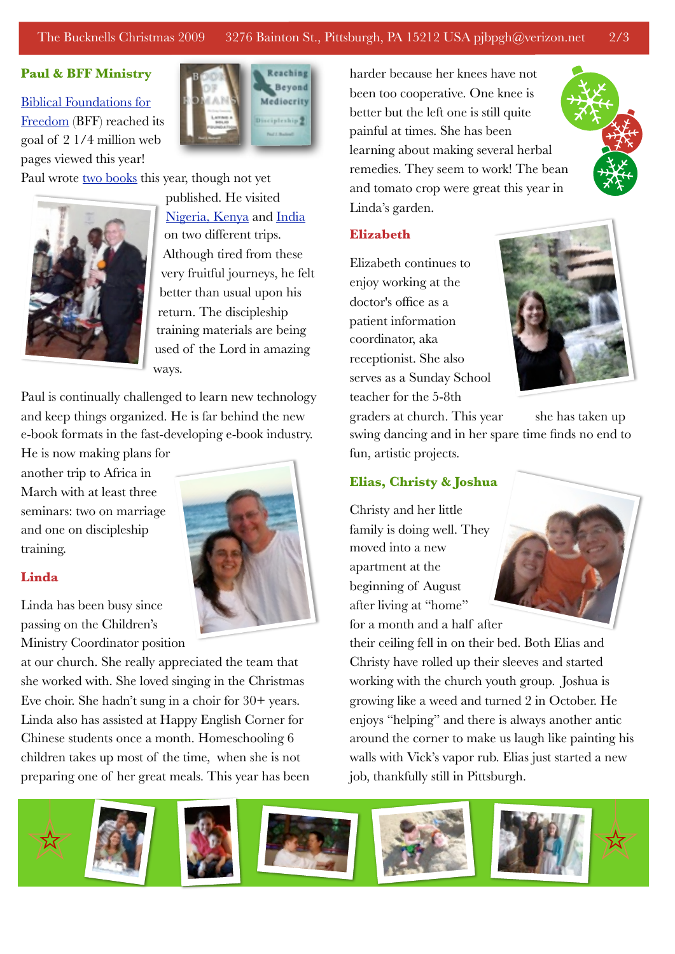### The Bucknells Christmas 2009 3276 Bainton St., Pittsburgh, PA 15212 USA pjbpgh@verizon.net 2/3

#### **Paul & BFF Ministry**

[Biblical Foundations for](http://www.foundationsforfreedom.net/)  [Freedom](http://www.foundationsforfreedom.net/) (BFF) reached its goal of 2 1/4 million web pages viewed this year!



Paul wrote [two books](http://www.foundationsforfreedom.net/Help/Store/Shop_BFF.html) this year, though not yet



published. He visited [Nigeria, Kenya](http://www.youtube.com/user/PaulB3276%23p/u/5/p7c0Ht844Wo) and [India](http://www.youtube.com/user/PaulB3276%23p/a/u/2/NzFJ3Qpf1NE) on two different trips. Although tired from these very fruitful journeys, he felt better than usual upon his return. The discipleship training materials are being used of the Lord in amazing ways.

Paul is continually challenged to learn new technology and keep things organized. He is far behind the new e-book formats in the fast-developing e-book industry.

He is now making plans for another trip to Africa in March with at least three seminars: two on marriage and one on discipleship training.

#### **Linda**

Linda has been busy since passing on the Children's Ministry Coordinator position

at our church. She really appreciated the team that she worked with. She loved singing in the Christmas Eve choir. She hadn't sung in a choir for 30+ years. Linda also has assisted at Happy English Corner for Chinese students once a month. Homeschooling 6 children takes up most of the time, when she is not preparing one of her great meals. This year has been

harder because her knees have not been too cooperative. One knee is better but the left one is still quite painful at times. She has been learning about making several herbal remedies. They seem to work! The bean and tomato crop were great this year in Linda's garden.



#### **Elizabeth**

Elizabeth continues to enjoy working at the doctor's office as a patient information coordinator, aka receptionist. She also serves as a Sunday School teacher for the 5-8th



graders at church. This year she has taken up

swing dancing and in her spare time finds no end to fun, artistic projects.

#### **Elias, Christy & Joshua**

Christy and her little family is doing well. They moved into a new apartment at the beginning of August after living at "home" for a month and a half after

their ceiling fell in on their bed. Both Elias and Christy have rolled up their sleeves and started working with the church youth group. Joshua is growing like a weed and turned 2 in October. He enjoys "helping" and there is always another antic around the corner to make us laugh like painting his walls with Vick's vapor rub. Elias just started a new job, thankfully still in Pittsburgh.